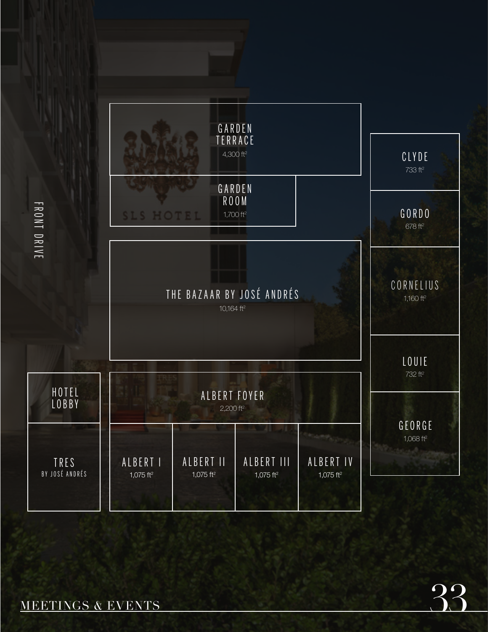